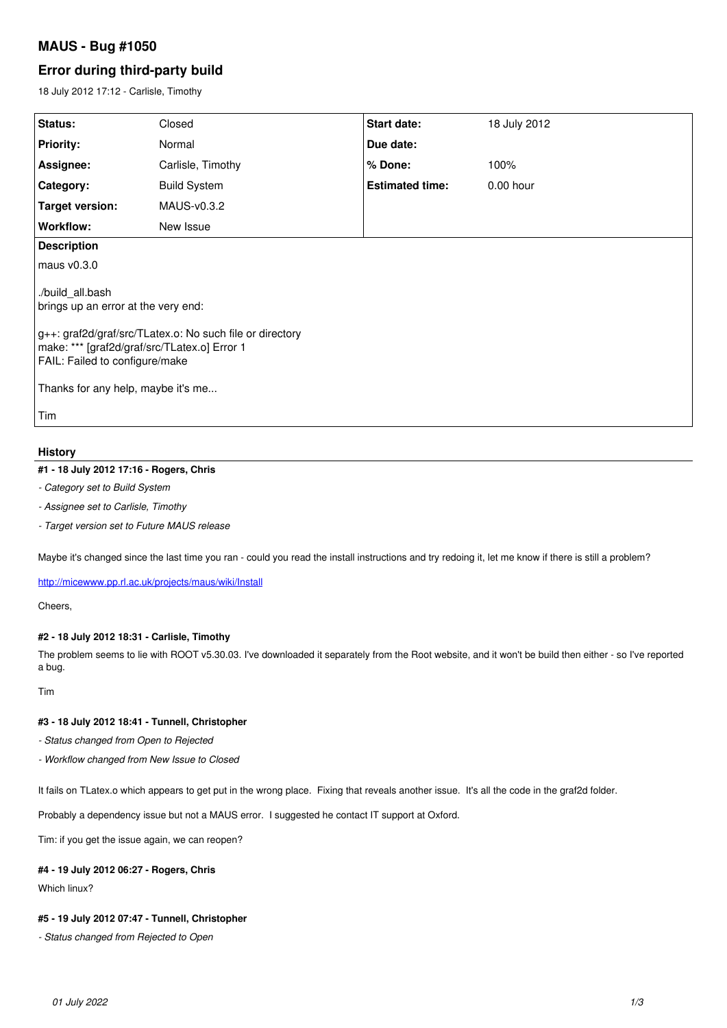# **MAUS - Bug #1050**

# **Error during third-party build**

18 July 2012 17:12 - Carlisle, Timothy

| <b>Status:</b>                                                                                                                             | Closed              | Start date:            | 18 July 2012 |
|--------------------------------------------------------------------------------------------------------------------------------------------|---------------------|------------------------|--------------|
| <b>Priority:</b>                                                                                                                           | Normal              | Due date:              |              |
| Assignee:                                                                                                                                  | Carlisle, Timothy   | % Done:                | 100%         |
| Category:                                                                                                                                  | <b>Build System</b> | <b>Estimated time:</b> | 0.00 hour    |
| Target version:                                                                                                                            | MAUS-v0.3.2         |                        |              |
| Workflow:                                                                                                                                  | New Issue           |                        |              |
| <b>Description</b>                                                                                                                         |                     |                        |              |
| maus v0.3.0                                                                                                                                |                     |                        |              |
| ./build all.bash<br>brings up an error at the very end:                                                                                    |                     |                        |              |
| g++: graf2d/graf/src/TLatex.o: No such file or directory<br>make: *** [graf2d/graf/src/TLatex.o] Error 1<br>FAIL: Failed to configure/make |                     |                        |              |
| Thanks for any help, maybe it's me                                                                                                         |                     |                        |              |
| Tim                                                                                                                                        |                     |                        |              |

# **History**

## **#1 - 18 July 2012 17:16 - Rogers, Chris**

- *Category set to Build System*
- *Assignee set to Carlisle, Timothy*
- *Target version set to Future MAUS release*

Maybe it's changed since the last time you ran - could you read the install instructions and try redoing it, let me know if there is still a problem?

<http://micewww.pp.rl.ac.uk/projects/maus/wiki/Install>

Cheers,

## **#2 - 18 July 2012 18:31 - Carlisle, Timothy**

The problem seems to lie with ROOT v5.30.03. I've downloaded it separately from the Root website, and it won't be build then either - so I've reported a bug.

Tim

### **#3 - 18 July 2012 18:41 - Tunnell, Christopher**

*- Status changed from Open to Rejected*

*- Workflow changed from New Issue to Closed*

It fails on TLatex.o which appears to get put in the wrong place. Fixing that reveals another issue. It's all the code in the graf2d folder.

Probably a dependency issue but not a MAUS error. I suggested he contact IT support at Oxford.

Tim: if you get the issue again, we can reopen?

### **#4 - 19 July 2012 06:27 - Rogers, Chris**

Which linux?

### **#5 - 19 July 2012 07:47 - Tunnell, Christopher**

*- Status changed from Rejected to Open*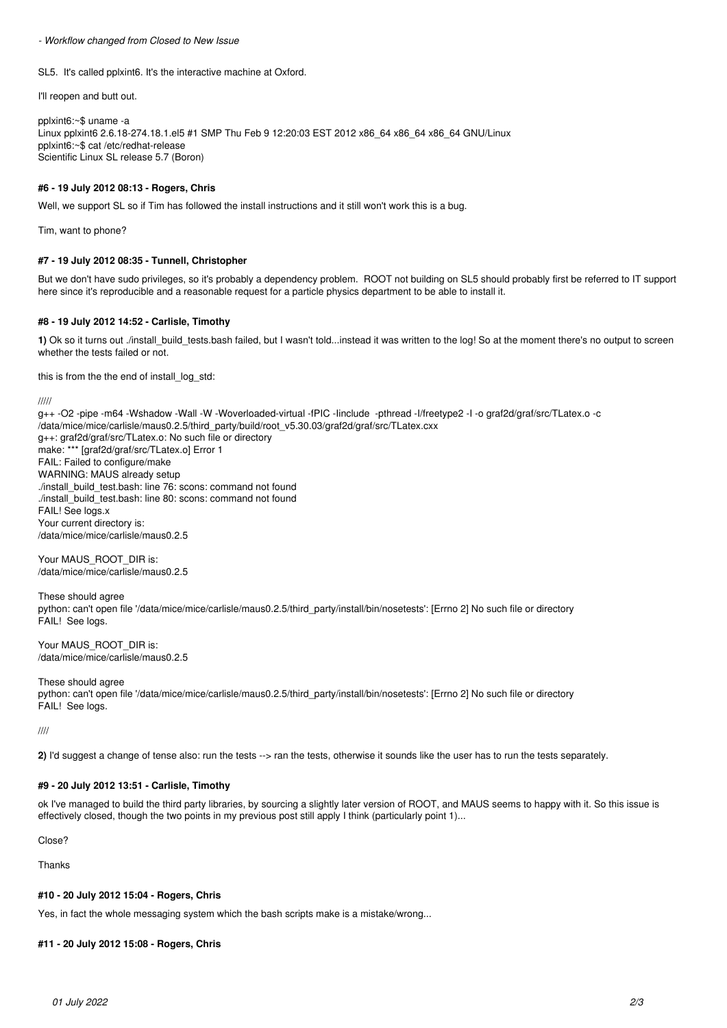*- Workflow changed from Closed to New Issue*

SL5. It's called pplxint6. It's the interactive machine at Oxford.

I'll reopen and butt out.

pplxint6:~\$ uname -a Linux pplxint6 2.6.18-274.18.1.el5 #1 SMP Thu Feb 9 12:20:03 EST 2012 x86\_64 x86\_64 x86\_64 GNU/Linux pplxint6:~\$ cat /etc/redhat-release Scientific Linux SL release 5.7 (Boron)

### **#6 - 19 July 2012 08:13 - Rogers, Chris**

Well, we support SL so if Tim has followed the install instructions and it still won't work this is a bug.

Tim, want to phone?

### **#7 - 19 July 2012 08:35 - Tunnell, Christopher**

But we don't have sudo privileges, so it's probably a dependency problem. ROOT not building on SL5 should probably first be referred to IT support here since it's reproducible and a reasonable request for a particle physics department to be able to install it.

### **#8 - 19 July 2012 14:52 - Carlisle, Timothy**

1) Ok so it turns out ./install\_build\_tests.bash failed, but I wasn't told...instead it was written to the log! So at the moment there's no output to screen whether the tests failed or not.

this is from the the end of install\_log\_std:

/////

g++ -O2 -pipe -m64 -Wshadow -Wall -W -Woverloaded-virtual -fPIC -Iinclude -pthread -I/freetype2 -I -o graf2d/graf/src/TLatex.o -c /data/mice/mice/carlisle/maus0.2.5/third\_party/build/root\_v5.30.03/graf2d/graf/src/TLatex.cxx g++: graf2d/graf/src/TLatex.o: No such file or directory make: \*\*\* [graf2d/graf/src/TLatex.o] Error 1 FAIL: Failed to configure/make WARNING: MAUS already setup ./install\_build\_test.bash: line 76: scons: command not found ./install\_build\_test.bash: line 80: scons: command not found FAIL! See logs.x Your current directory is: /data/mice/mice/carlisle/maus0.2.5

Your MAUS\_ROOT\_DIR is: /data/mice/mice/carlisle/maus0.2.5

These should agree python: can't open file '/data/mice/mice/carlisle/maus0.2.5/third\_party/install/bin/nosetests': [Errno 2] No such file or directory FAIL! See logs.

Your MAUS ROOT DIR is: /data/mice/mice/carlisle/maus0.2.5

These should agree python: can't open file '/data/mice/mice/carlisle/maus0.2.5/third\_party/install/bin/nosetests': [Errno 2] No such file or directory FAIL! See logs.

////

**2)** I'd suggest a change of tense also: run the tests --> ran the tests, otherwise it sounds like the user has to run the tests separately.

### **#9 - 20 July 2012 13:51 - Carlisle, Timothy**

ok I've managed to build the third party libraries, by sourcing a slightly later version of ROOT, and MAUS seems to happy with it. So this issue is effectively closed, though the two points in my previous post still apply I think (particularly point 1)...

Close?

Thanks

### **#10 - 20 July 2012 15:04 - Rogers, Chris**

Yes, in fact the whole messaging system which the bash scripts make is a mistake/wrong...

### **#11 - 20 July 2012 15:08 - Rogers, Chris**